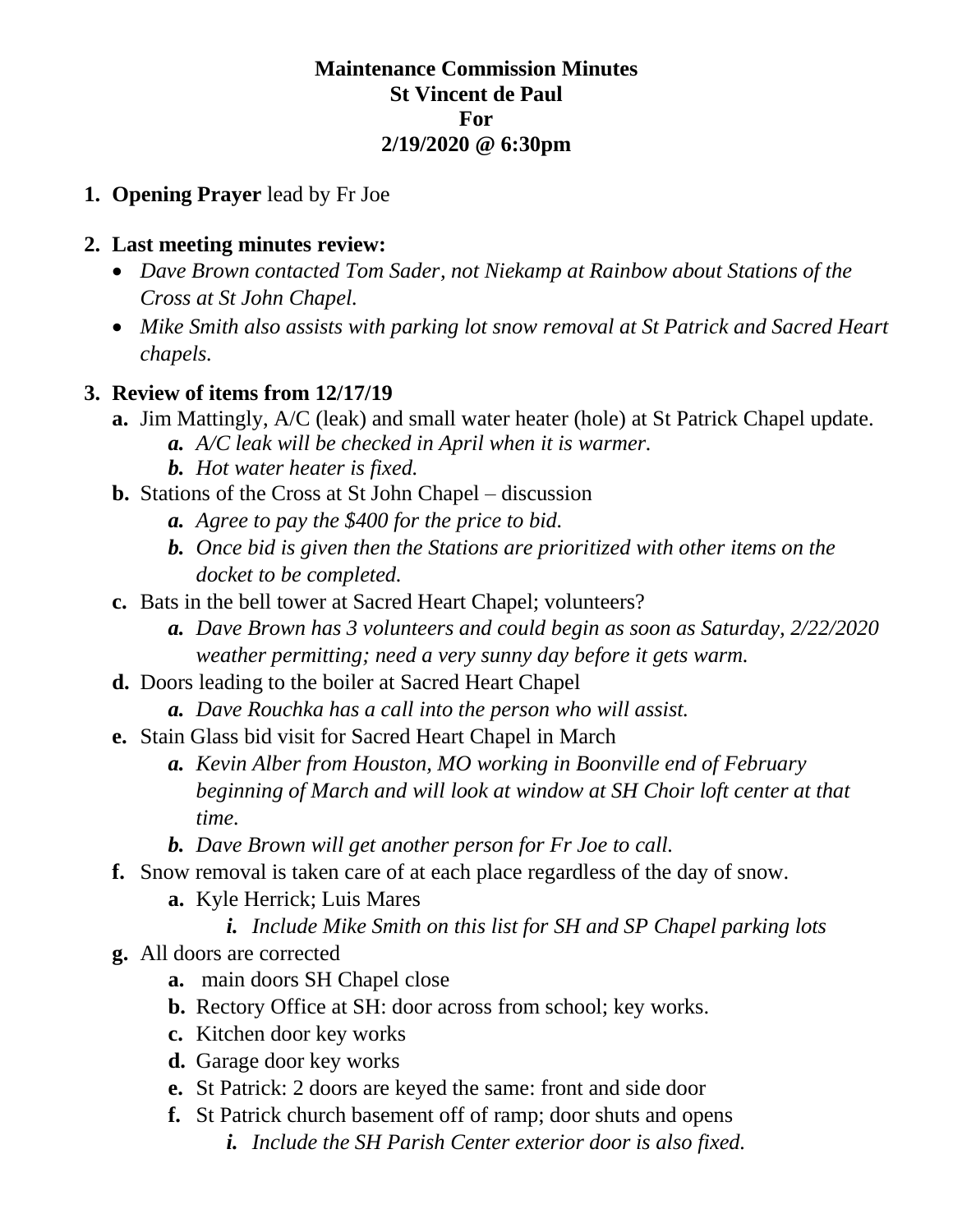## **Maintenance Commission Minutes St Vincent de Paul For 2/19/2020 @ 6:30pm**

## **1. Opening Prayer** lead by Fr Joe

#### **2. Last meeting minutes review:**

- *Dave Brown contacted Tom Sader, not Niekamp at Rainbow about Stations of the Cross at St John Chapel.*
- *Mike Smith also assists with parking lot snow removal at St Patrick and Sacred Heart chapels.*

## **3. Review of items from 12/17/19**

- **a.** Jim Mattingly, A/C (leak) and small water heater (hole) at St Patrick Chapel update. *a. A/C leak will be checked in April when it is warmer.* 
	- *b. Hot water heater is fixed.*
- **b.** Stations of the Cross at St John Chapel discussion
	- *a. Agree to pay the \$400 for the price to bid.*
	- *b. Once bid is given then the Stations are prioritized with other items on the docket to be completed.*
- **c.** Bats in the bell tower at Sacred Heart Chapel; volunteers?
	- *a. Dave Brown has 3 volunteers and could begin as soon as Saturday, 2/22/2020 weather permitting; need a very sunny day before it gets warm.*
- **d.** Doors leading to the boiler at Sacred Heart Chapel
	- *a. Dave Rouchka has a call into the person who will assist.*
- **e.** Stain Glass bid visit for Sacred Heart Chapel in March
	- *a. Kevin Alber from Houston, MO working in Boonville end of February beginning of March and will look at window at SH Choir loft center at that time.*
	- *b. Dave Brown will get another person for Fr Joe to call.*
- **f.** Snow removal is taken care of at each place regardless of the day of snow.
	- **a.** Kyle Herrick; Luis Mares
		- *i. Include Mike Smith on this list for SH and SP Chapel parking lots*
- **g.** All doors are corrected
	- **a.** main doors SH Chapel close
	- **b.** Rectory Office at SH: door across from school; key works.
	- **c.** Kitchen door key works
	- **d.** Garage door key works
	- **e.** St Patrick: 2 doors are keyed the same: front and side door
	- **f.** St Patrick church basement off of ramp; door shuts and opens
		- *i. Include the SH Parish Center exterior door is also fixed.*